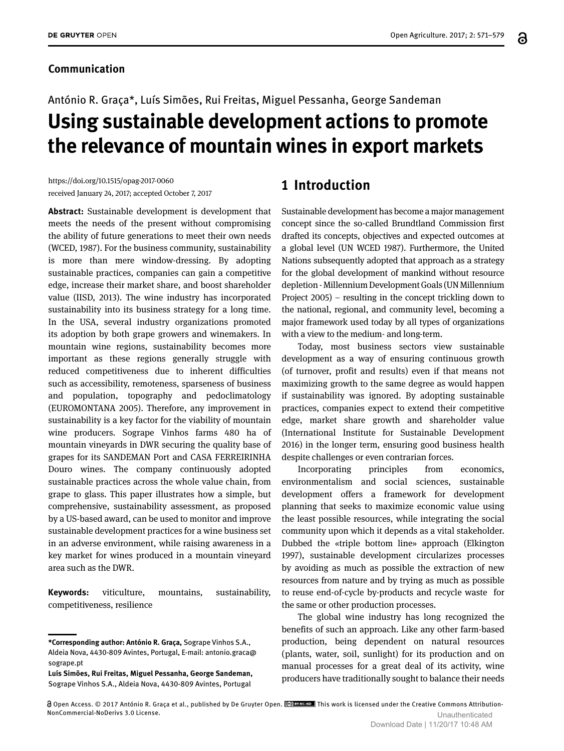#### **Communication**

# António R. Graça\*, Luís Simões, Rui Freitas, Miguel Pessanha, George Sandeman **Using sustainable development actions to promote the relevance of mountain wines in export markets**

https://doi.org/10.1515/opag-2017-0060 received January 24, 2017; accepted October 7, 2017

**Abstract:** Sustainable development is development that meets the needs of the present without compromising the ability of future generations to meet their own needs (WCED, 1987). For the business community, sustainability is more than mere window-dressing. By adopting sustainable practices, companies can gain a competitive edge, increase their market share, and boost shareholder value (IISD, 2013). The wine industry has incorporated sustainability into its business strategy for a long time. In the USA, several industry organizations promoted its adoption by both grape growers and winemakers. In mountain wine regions, sustainability becomes more important as these regions generally struggle with reduced competitiveness due to inherent difficulties such as accessibility, remoteness, sparseness of business and population, topography and pedoclimatology (EUROMONTANA 2005). Therefore, any improvement in sustainability is a key factor for the viability of mountain wine producers. Sogrape Vinhos farms 480 ha of mountain vineyards in DWR securing the quality base of grapes for its SANDEMAN Port and CASA FERREIRINHA Douro wines. The company continuously adopted sustainable practices across the whole value chain, from grape to glass. This paper illustrates how a simple, but comprehensive, sustainability assessment, as proposed by a US-based award, can be used to monitor and improve sustainable development practices for a wine business set in an adverse environment, while raising awareness in a key market for wines produced in a mountain vineyard area such as the DWR.

**Keywords:** viticulture, mountains, sustainability, competitiveness, resilience

**Luís Simões, Rui Freitas, Miguel Pessanha, George Sandeman,**  Sogrape Vinhos S.A., Aldeia Nova, 4430-809 Avintes, Portugal

## **1 Introduction**

Sustainable development has become a major management concept since the so-called Brundtland Commission first drafted its concepts, objectives and expected outcomes at a global level (UN WCED 1987). Furthermore, the United Nations subsequently adopted that approach as a strategy for the global development of mankind without resource depletion - Millennium Development Goals (UN Millennium Project 2005) – resulting in the concept trickling down to the national, regional, and community level, becoming a major framework used today by all types of organizations with a view to the medium- and long-term.

Today, most business sectors view sustainable development as a way of ensuring continuous growth (of turnover, profit and results) even if that means not maximizing growth to the same degree as would happen if sustainability was ignored. By adopting sustainable practices, companies expect to extend their competitive edge, market share growth and shareholder value (International Institute for Sustainable Development 2016) in the longer term, ensuring good business health despite challenges or even contrarian forces.

Incorporating principles from economics, environmentalism and social sciences, sustainable development offers a framework for development planning that seeks to maximize economic value using the least possible resources, while integrating the social community upon which it depends as a vital stakeholder. Dubbed the «triple bottom line» approach (Elkington 1997), sustainable development circularizes processes by avoiding as much as possible the extraction of new resources from nature and by trying as much as possible to reuse end-of-cycle by-products and recycle waste for the same or other production processes.

The global wine industry has long recognized the benefits of such an approach. Like any other farm-based production, being dependent on natural resources (plants, water, soil, sunlight) for its production and on manual processes for a great deal of its activity, wine producers have traditionally sought to balance their needs

**<sup>\*</sup>Corresponding author: António R. Graça,** Sogrape Vinhos S.A., Aldeia Nova, 4430-809 Avintes, Portugal, E-mail: antonio.graca@ sogrape.pt

Open Access. © 2017 António R. Graça et al., published by De Gruyter Open. This work is licensed under the Creative Commons Attribution-NonCommercial-NoDerivs 3.0 License. Unauthenticated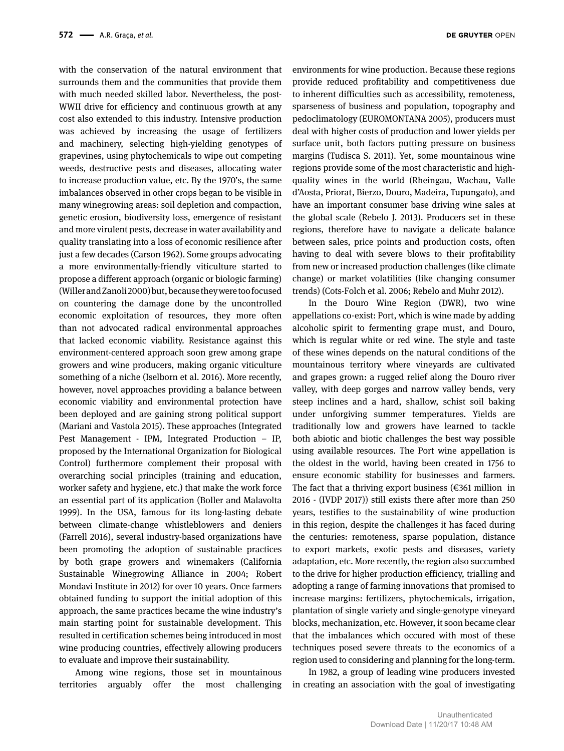with the conservation of the natural environment that surrounds them and the communities that provide them with much needed skilled labor. Nevertheless, the post-WWII drive for efficiency and continuous growth at any cost also extended to this industry. Intensive production was achieved by increasing the usage of fertilizers and machinery, selecting high-yielding genotypes of grapevines, using phytochemicals to wipe out competing weeds, destructive pests and diseases, allocating water to increase production value, etc. By the 1970's, the same imbalances observed in other crops began to be visible in many winegrowing areas: soil depletion and compaction, genetic erosion, biodiversity loss, emergence of resistant and more virulent pests, decrease in water availability and quality translating into a loss of economic resilience after just a few decades (Carson 1962). Some groups advocating a more environmentally-friendly viticulture started to propose a different approach (organic or biologic farming) (Willer and Zanoli 2000) but, because they were too focused on countering the damage done by the uncontrolled economic exploitation of resources, they more often than not advocated radical environmental approaches that lacked economic viability. Resistance against this environment-centered approach soon grew among grape growers and wine producers, making organic viticulture something of a niche (Iselborn et al. 2016). More recently, however, novel approaches providing a balance between economic viability and environmental protection have been deployed and are gaining strong political support (Mariani and Vastola 2015). These approaches (Integrated Pest Management - IPM, Integrated Production – IP, proposed by the International Organization for Biological Control) furthermore complement their proposal with overarching social principles (training and education, worker safety and hygiene, etc.) that make the work force an essential part of its application (Boller and Malavolta 1999). In the USA, famous for its long-lasting debate between climate-change whistleblowers and deniers (Farrell 2016), several industry-based organizations have been promoting the adoption of sustainable practices by both grape growers and winemakers (California Sustainable Winegrowing Alliance in 2004; Robert Mondavi Institute in 2012) for over 10 years. Once farmers obtained funding to support the initial adoption of this approach, the same practices became the wine industry's main starting point for sustainable development. This resulted in certification schemes being introduced in most wine producing countries, effectively allowing producers to evaluate and improve their sustainability.

Among wine regions, those set in mountainous territories arguably offer the most challenging environments for wine production. Because these regions provide reduced profitability and competitiveness due to inherent difficulties such as accessibility, remoteness, sparseness of business and population, topography and pedoclimatology (EUROMONTANA 2005), producers must deal with higher costs of production and lower yields per surface unit, both factors putting pressure on business margins (Tudisca S. 2011). Yet, some mountainous wine regions provide some of the most characteristic and highquality wines in the world (Rheingau, Wachau, Valle d'Aosta, Priorat, Bierzo, Douro, Madeira, Tupungato), and have an important consumer base driving wine sales at the global scale (Rebelo J. 2013). Producers set in these regions, therefore have to navigate a delicate balance between sales, price points and production costs, often having to deal with severe blows to their profitability from new or increased production challenges (like climate change) or market volatilities (like changing consumer trends) (Cots-Folch et al. 2006; Rebelo and Muhr 2012).

In the Douro Wine Region (DWR), two wine appellations co-exist: Port, which is wine made by adding alcoholic spirit to fermenting grape must, and Douro, which is regular white or red wine. The style and taste of these wines depends on the natural conditions of the mountainous territory where vineyards are cultivated and grapes grown: a rugged relief along the Douro river valley, with deep gorges and narrow valley bends, very steep inclines and a hard, shallow, schist soil baking under unforgiving summer temperatures. Yields are traditionally low and growers have learned to tackle both abiotic and biotic challenges the best way possible using available resources. The Port wine appellation is the oldest in the world, having been created in 1756 to ensure economic stability for businesses and farmers. The fact that a thriving export business ( $\epsilon$ 361 million in 2016 - (IVDP 2017)) still exists there after more than 250 years, testifies to the sustainability of wine production in this region, despite the challenges it has faced during the centuries: remoteness, sparse population, distance to export markets, exotic pests and diseases, variety adaptation, etc. More recently, the region also succumbed to the drive for higher production efficiency, trialling and adopting a range of farming innovations that promised to increase margins: fertilizers, phytochemicals, irrigation, plantation of single variety and single-genotype vineyard blocks, mechanization, etc. However, it soon became clear that the imbalances which occured with most of these techniques posed severe threats to the economics of a region used to considering and planning for the long-term.

In 1982, a group of leading wine producers invested in creating an association with the goal of investigating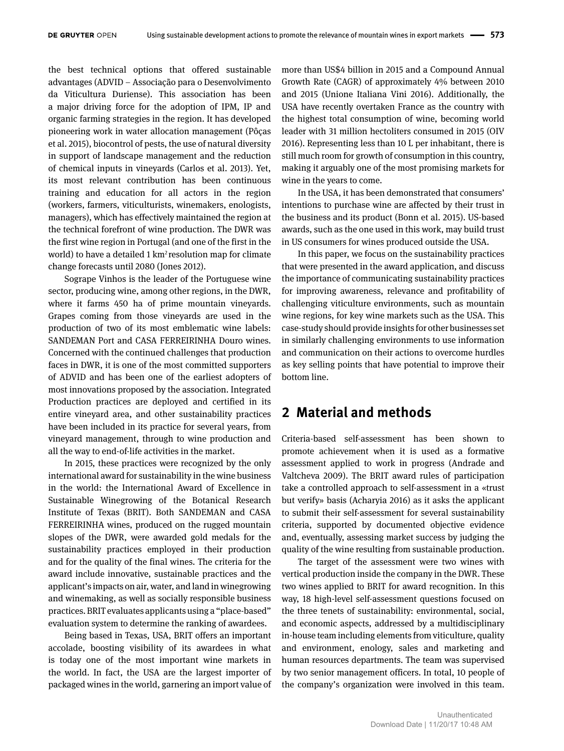the best technical options that offered sustainable advantages (ADVID – Associação para o Desenvolvimento da Viticultura Duriense). This association has been a major driving force for the adoption of IPM, IP and organic farming strategies in the region. It has developed pioneering work in water allocation management (Pôças et al. 2015), biocontrol of pests, the use of natural diversity in support of landscape management and the reduction of chemical inputs in vineyards (Carlos et al. 2013). Yet, its most relevant contribution has been continuous training and education for all actors in the region (workers, farmers, viticulturists, winemakers, enologists, managers), which has effectively maintained the region at the technical forefront of wine production. The DWR was the first wine region in Portugal (and one of the first in the world) to have a detailed  $1 \text{ km}^2$  resolution map for climate change forecasts until 2080 (Jones 2012).

Sogrape Vinhos is the leader of the Portuguese wine sector, producing wine, among other regions, in the DWR, where it farms 450 ha of prime mountain vineyards. Grapes coming from those vineyards are used in the production of two of its most emblematic wine labels: SANDEMAN Port and CASA FERREIRINHA Douro wines. Concerned with the continued challenges that production faces in DWR, it is one of the most committed supporters of ADVID and has been one of the earliest adopters of most innovations proposed by the association. Integrated Production practices are deployed and certified in its entire vineyard area, and other sustainability practices have been included in its practice for several years, from vineyard management, through to wine production and all the way to end-of-life activities in the market.

In 2015, these practices were recognized by the only international award for sustainability in the wine business in the world: the International Award of Excellence in Sustainable Winegrowing of the Botanical Research Institute of Texas (BRIT). Both SANDEMAN and CASA FERREIRINHA wines, produced on the rugged mountain slopes of the DWR, were awarded gold medals for the sustainability practices employed in their production and for the quality of the final wines. The criteria for the award include innovative, sustainable practices and the applicant's impacts on air, water, and land in winegrowing and winemaking, as well as socially responsible business practices. BRIT evaluates applicants using a "place-based" evaluation system to determine the ranking of awardees.

Being based in Texas, USA, BRIT offers an important accolade, boosting visibility of its awardees in what is today one of the most important wine markets in the world. In fact, the USA are the largest importer of packaged wines in the world, garnering an import value of

more than US\$4 billion in 2015 and a Compound Annual Growth Rate (CAGR) of approximately 4% between 2010 and 2015 (Unione Italiana Vini 2016). Additionally, the USA have recently overtaken France as the country with the highest total consumption of wine, becoming world leader with 31 million hectoliters consumed in 2015 (OIV 2016). Representing less than 10 L per inhabitant, there is still much room for growth of consumption in this country, making it arguably one of the most promising markets for wine in the years to come.

In the USA, it has been demonstrated that consumers' intentions to purchase wine are affected by their trust in the business and its product (Bonn et al. 2015). US-based awards, such as the one used in this work, may build trust in US consumers for wines produced outside the USA.

In this paper, we focus on the sustainability practices that were presented in the award application, and discuss the importance of communicating sustainability practices for improving awareness, relevance and profitability of challenging viticulture environments, such as mountain wine regions, for key wine markets such as the USA. This case-study should provide insights for other businesses set in similarly challenging environments to use information and communication on their actions to overcome hurdles as key selling points that have potential to improve their bottom line.

## **2 Material and methods**

Criteria-based self-assessment has been shown to promote achievement when it is used as a formative assessment applied to work in progress (Andrade and Valtcheva 2009). The BRIT award rules of participation take a controlled approach to self-assessment in a «trust but verify» basis (Acharyia 2016) as it asks the applicant to submit their self-assessment for several sustainability criteria, supported by documented objective evidence and, eventually, assessing market success by judging the quality of the wine resulting from sustainable production.

The target of the assessment were two wines with vertical production inside the company in the DWR. These two wines applied to BRIT for award recognition. In this way, 18 high-level self-assessment questions focused on the three tenets of sustainability: environmental, social, and economic aspects, addressed by a multidisciplinary in-house team including elements from viticulture, quality and environment, enology, sales and marketing and human resources departments. The team was supervised by two senior management officers. In total, 10 people of the company's organization were involved in this team.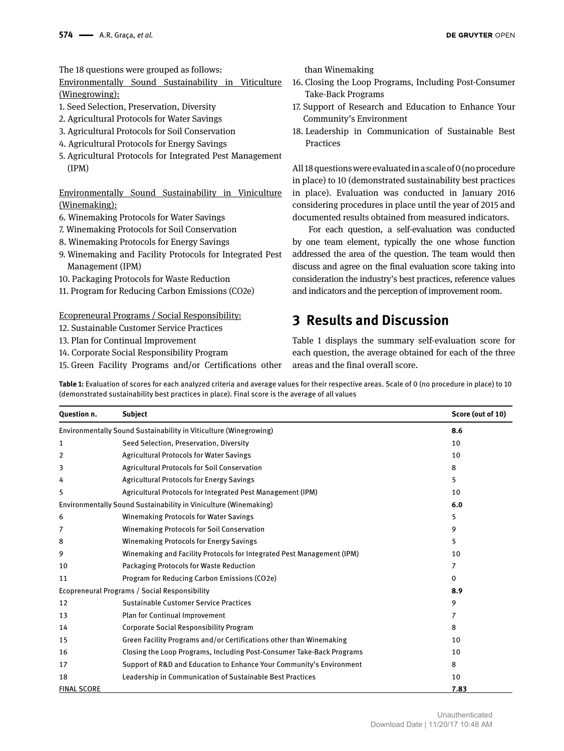The 18 questions were grouped as follows:

Environmentally Sound Sustainability in Viticulture (Winegrowing):

- 1. Seed Selection, Preservation, Diversity
- 2. Agricultural Protocols for Water Savings
- 3. Agricultural Protocols for Soil Conservation
- 4. Agricultural Protocols for Energy Savings
- 5. Agricultural Protocols for Integrated Pest Management (IPM)

Environmentally Sound Sustainability in Viniculture (Winemaking):

- 6. Winemaking Protocols for Water Savings
- 7. Winemaking Protocols for Soil Conservation
- 8. Winemaking Protocols for Energy Savings
- 9. Winemaking and Facility Protocols for Integrated Pest Management (IPM)
- 10. Packaging Protocols for Waste Reduction
- 11. Program for Reducing Carbon Emissions (CO2e)

Ecopreneural Programs / Social Responsibility:

- 12. Sustainable Customer Service Practices
- 13. Plan for Continual Improvement
- 14. Corporate Social Responsibility Program
- 15. Green Facility Programs and/or Certifications other

than Winemaking

- 16. Closing the Loop Programs, Including Post-Consumer Take-Back Programs
- 17. Support of Research and Education to Enhance Your Community's Environment
- 18. Leadership in Communication of Sustainable Best Practices

All 18 questions were evaluated in a scale of 0 (no procedure in place) to 10 (demonstrated sustainability best practices in place). Evaluation was conducted in January 2016 considering procedures in place until the year of 2015 and documented results obtained from measured indicators.

For each question, a self-evaluation was conducted by one team element, typically the one whose function addressed the area of the question. The team would then discuss and agree on the final evaluation score taking into consideration the industry's best practices, reference values and indicators and the perception of improvement room.

## **3 Results and Discussion**

Table 1 displays the summary self-evaluation score for each question, the average obtained for each of the three areas and the final overall score.

**Table 1:** Evaluation of scores for each analyzed criteria and average values for their respective areas. Scale of 0 (no procedure in place) to 10 (demonstrated sustainability best practices in place). Final score is the average of all values

| Question n.                                                       | <b>Subject</b>                                                         | Score (out of 10) |
|-------------------------------------------------------------------|------------------------------------------------------------------------|-------------------|
| Environmentally Sound Sustainability in Viticulture (Winegrowing) |                                                                        | 8.6               |
| 1                                                                 | Seed Selection, Preservation, Diversity                                | 10                |
| $\overline{2}$                                                    | <b>Agricultural Protocols for Water Savings</b>                        | 10                |
| 3                                                                 | <b>Agricultural Protocols for Soil Conservation</b>                    | 8                 |
| 4                                                                 | <b>Agricultural Protocols for Energy Savings</b>                       | 5.                |
| 5                                                                 | Agricultural Protocols for Integrated Pest Management (IPM)            | 10                |
| Environmentally Sound Sustainability in Viniculture (Winemaking)  |                                                                        | 6.0               |
| 6                                                                 | <b>Winemaking Protocols for Water Savings</b>                          | 5                 |
| 7                                                                 | <b>Winemaking Protocols for Soil Conservation</b>                      | 9                 |
| 8                                                                 | <b>Winemaking Protocols for Energy Savings</b>                         | 5.                |
| 9                                                                 | Winemaking and Facility Protocols for Integrated Pest Management (IPM) | 10                |
| 10                                                                | <b>Packaging Protocols for Waste Reduction</b>                         | 7                 |
| 11                                                                | Program for Reducing Carbon Emissions (CO2e)                           | 0                 |
| Ecopreneural Programs / Social Responsibility                     |                                                                        | 8.9               |
| 12                                                                | <b>Sustainable Customer Service Practices</b>                          | 9                 |
| 13                                                                | Plan for Continual Improvement                                         | 7                 |
| 14                                                                | Corporate Social Responsibility Program                                | 8                 |
| 15                                                                | Green Facility Programs and/or Certifications other than Winemaking    | 10                |
| 16                                                                | Closing the Loop Programs, Including Post-Consumer Take-Back Programs  | 10                |
| 17                                                                | Support of R&D and Education to Enhance Your Community's Environment   | 8                 |
| 18                                                                | Leadership in Communication of Sustainable Best Practices              | 10                |
| <b>FINAL SCORE</b>                                                |                                                                        | 7.83              |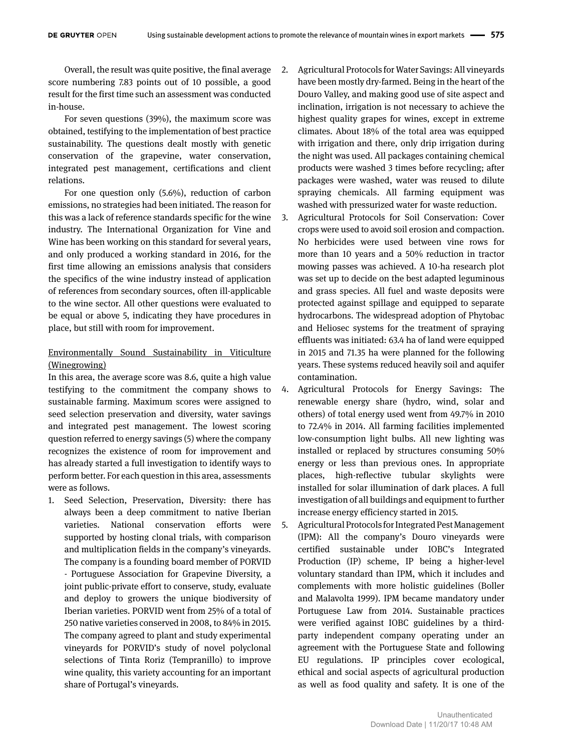Overall, the result was quite positive, the final average score numbering 7.83 points out of 10 possible, a good result for the first time such an assessment was conducted in-house.

For seven questions (39%), the maximum score was obtained, testifying to the implementation of best practice sustainability. The questions dealt mostly with genetic conservation of the grapevine, water conservation, integrated pest management, certifications and client relations.

For one question only (5.6%), reduction of carbon emissions, no strategies had been initiated. The reason for this was a lack of reference standards specific for the wine industry. The International Organization for Vine and Wine has been working on this standard for several years, and only produced a working standard in 2016, for the first time allowing an emissions analysis that considers the specifics of the wine industry instead of application of references from secondary sources, often ill-applicable to the wine sector. All other questions were evaluated to be equal or above 5, indicating they have procedures in place, but still with room for improvement.

#### Environmentally Sound Sustainability in Viticulture (Winegrowing)

In this area, the average score was 8.6, quite a high value testifying to the commitment the company shows to sustainable farming. Maximum scores were assigned to seed selection preservation and diversity, water savings and integrated pest management. The lowest scoring question referred to energy savings (5) where the company recognizes the existence of room for improvement and has already started a full investigation to identify ways to perform better. For each question in this area, assessments were as follows.

1. Seed Selection, Preservation, Diversity: there has always been a deep commitment to native Iberian varieties. National conservation efforts were supported by hosting clonal trials, with comparison and multiplication fields in the company's vineyards. The company is a founding board member of PORVID - Portuguese Association for Grapevine Diversity, a joint public-private effort to conserve, study, evaluate and deploy to growers the unique biodiversity of Iberian varieties. PORVID went from 25% of a total of 250 native varieties conserved in 2008, to 84% in 2015. The company agreed to plant and study experimental vineyards for PORVID's study of novel polyclonal selections of Tinta Roriz (Tempranillo) to improve wine quality, this variety accounting for an important share of Portugal's vineyards.

- 2. Agricultural Protocols for Water Savings: All vineyards have been mostly dry-farmed. Being in the heart of the Douro Valley, and making good use of site aspect and inclination, irrigation is not necessary to achieve the highest quality grapes for wines, except in extreme climates. About 18% of the total area was equipped with irrigation and there, only drip irrigation during the night was used. All packages containing chemical products were washed 3 times before recycling; after packages were washed, water was reused to dilute spraying chemicals. All farming equipment was washed with pressurized water for waste reduction.
- 3. Agricultural Protocols for Soil Conservation: Cover crops were used to avoid soil erosion and compaction. No herbicides were used between vine rows for more than 10 years and a 50% reduction in tractor mowing passes was achieved. A 10-ha research plot was set up to decide on the best adapted leguminous and grass species. All fuel and waste deposits were protected against spillage and equipped to separate hydrocarbons. The widespread adoption of Phytobac and Heliosec systems for the treatment of spraying effluents was initiated: 63.4 ha of land were equipped in 2015 and 71.35 ha were planned for the following years. These systems reduced heavily soil and aquifer contamination.
- 4. Agricultural Protocols for Energy Savings: The renewable energy share (hydro, wind, solar and others) of total energy used went from 49.7% in 2010 to 72.4% in 2014. All farming facilities implemented low-consumption light bulbs. All new lighting was installed or replaced by structures consuming 50% energy or less than previous ones. In appropriate places, high-reflective tubular skylights were installed for solar illumination of dark places. A full investigation of all buildings and equipment to further increase energy efficiency started in 2015.
- 5. Agricultural Protocols for Integrated Pest Management (IPM): All the company's Douro vineyards were certified sustainable under IOBC's Integrated Production (IP) scheme, IP being a higher-level voluntary standard than IPM, which it includes and complements with more holistic guidelines (Boller and Malavolta 1999). IPM became mandatory under Portuguese Law from 2014. Sustainable practices were verified against IOBC guidelines by a thirdparty independent company operating under an agreement with the Portuguese State and following EU regulations. IP principles cover ecological, ethical and social aspects of agricultural production as well as food quality and safety. It is one of the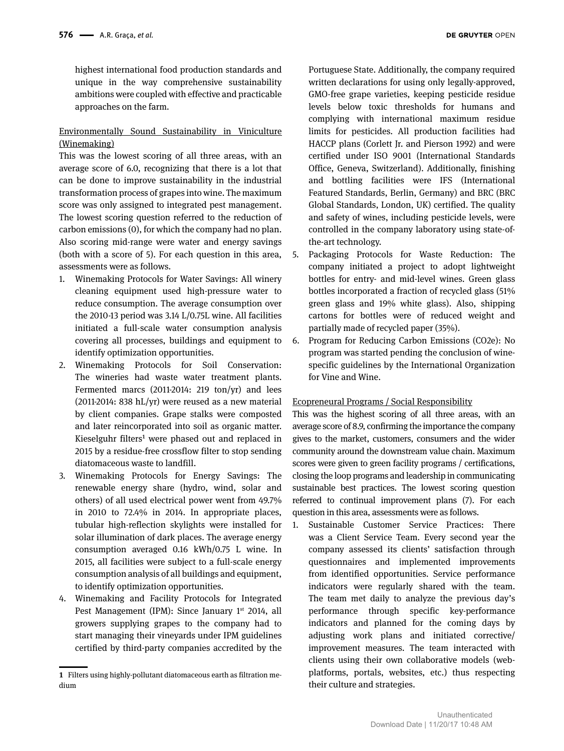highest international food production standards and unique in the way comprehensive sustainability ambitions were coupled with effective and practicable approaches on the farm.

#### Environmentally Sound Sustainability in Viniculture (Winemaking)

This was the lowest scoring of all three areas, with an average score of 6.0, recognizing that there is a lot that can be done to improve sustainability in the industrial transformation process of grapes into wine. The maximum score was only assigned to integrated pest management. The lowest scoring question referred to the reduction of carbon emissions (0), for which the company had no plan. Also scoring mid-range were water and energy savings (both with a score of 5). For each question in this area, assessments were as follows.

- 1. Winemaking Protocols for Water Savings: All winery cleaning equipment used high-pressure water to reduce consumption. The average consumption over the 2010-13 period was 3.14 L/0.75L wine. All facilities initiated a full-scale water consumption analysis covering all processes, buildings and equipment to identify optimization opportunities.
- 2. Winemaking Protocols for Soil Conservation: The wineries had waste water treatment plants. Fermented marcs (2011-2014: 219 ton/yr) and lees (2011-2014: 838 hL/yr) were reused as a new material by client companies. Grape stalks were composted and later reincorporated into soil as organic matter. Kieselguhr filters<sup>1</sup> were phased out and replaced in 2015 by a residue-free crossflow filter to stop sending diatomaceous waste to landfill.
- 3. Winemaking Protocols for Energy Savings: The renewable energy share (hydro, wind, solar and others) of all used electrical power went from 49.7% in 2010 to 72.4% in 2014. In appropriate places, tubular high-reflection skylights were installed for solar illumination of dark places. The average energy consumption averaged 0.16 kWh/0.75 L wine. In 2015, all facilities were subject to a full-scale energy consumption analysis of all buildings and equipment, to identify optimization opportunities.
- 4. Winemaking and Facility Protocols for Integrated Pest Management (IPM): Since January 1<sup>st</sup> 2014, all growers supplying grapes to the company had to start managing their vineyards under IPM guidelines certified by third-party companies accredited by the

Portuguese State. Additionally, the company required written declarations for using only legally-approved, GMO-free grape varieties, keeping pesticide residue levels below toxic thresholds for humans and complying with international maximum residue limits for pesticides. All production facilities had HACCP plans (Corlett Jr. and Pierson 1992) and were certified under ISO 9001 (International Standards Office, Geneva, Switzerland). Additionally, finishing and bottling facilities were IFS (International Featured Standards, Berlin, Germany) and BRC (BRC Global Standards, London, UK) certified. The quality and safety of wines, including pesticide levels, were controlled in the company laboratory using state-ofthe-art technology.

- 5. Packaging Protocols for Waste Reduction: The company initiated a project to adopt lightweight bottles for entry- and mid-level wines. Green glass bottles incorporated a fraction of recycled glass (51% green glass and 19% white glass). Also, shipping cartons for bottles were of reduced weight and partially made of recycled paper (35%).
- 6. Program for Reducing Carbon Emissions (CO2e): No program was started pending the conclusion of winespecific guidelines by the International Organization for Vine and Wine.

#### Ecopreneural Programs / Social Responsibility

This was the highest scoring of all three areas, with an average score of 8.9, confirming the importance the company gives to the market, customers, consumers and the wider community around the downstream value chain. Maximum scores were given to green facility programs / certifications, closing the loop programs and leadership in communicating sustainable best practices. The lowest scoring question referred to continual improvement plans (7). For each question in this area, assessments were as follows.

1. Sustainable Customer Service Practices: There was a Client Service Team. Every second year the company assessed its clients' satisfaction through questionnaires and implemented improvements from identified opportunities. Service performance indicators were regularly shared with the team. The team met daily to analyze the previous day's performance through specific key-performance indicators and planned for the coming days by adjusting work plans and initiated corrective/ improvement measures. The team interacted with clients using their own collaborative models (webplatforms, portals, websites, etc.) thus respecting their culture and strategies.

**<sup>1</sup>** Filters using highly-pollutant diatomaceous earth as filtration medium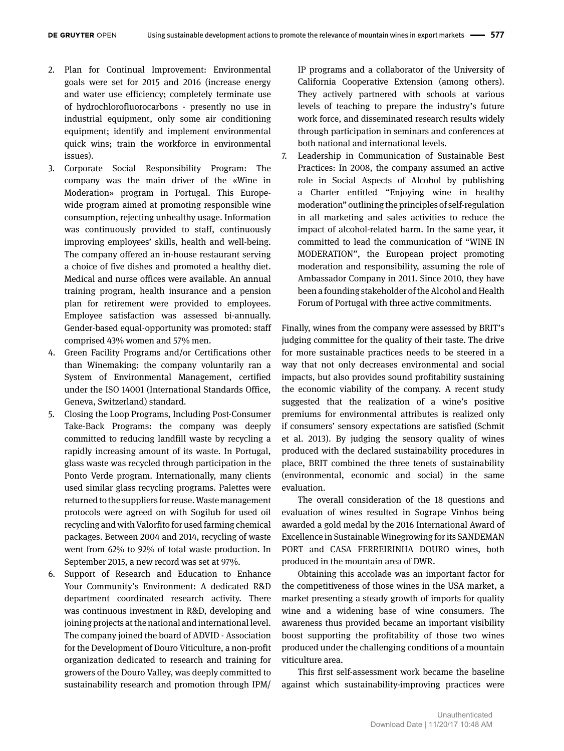- 2. Plan for Continual Improvement: Environmental goals were set for 2015 and 2016 (increase energy and water use efficiency; completely terminate use of hydrochlorofluorocarbons - presently no use in industrial equipment, only some air conditioning equipment; identify and implement environmental quick wins; train the workforce in environmental issues).
- 3. Corporate Social Responsibility Program: The company was the main driver of the «Wine in Moderation» program in Portugal. This Europewide program aimed at promoting responsible wine consumption, rejecting unhealthy usage. Information was continuously provided to staff, continuously improving employees' skills, health and well-being. The company offered an in-house restaurant serving a choice of five dishes and promoted a healthy diet. Medical and nurse offices were available. An annual training program, health insurance and a pension plan for retirement were provided to employees. Employee satisfaction was assessed bi-annually. Gender-based equal-opportunity was promoted: staff comprised 43% women and 57% men.
- 4. Green Facility Programs and/or Certifications other than Winemaking: the company voluntarily ran a System of Environmental Management, certified under the ISO 14001 (International Standards Office, Geneva, Switzerland) standard.
- 5. Closing the Loop Programs, Including Post-Consumer Take-Back Programs: the company was deeply committed to reducing landfill waste by recycling a rapidly increasing amount of its waste. In Portugal, glass waste was recycled through participation in the Ponto Verde program. Internationally, many clients used similar glass recycling programs. Palettes were returned to the suppliers for reuse. Waste management protocols were agreed on with Sogilub for used oil recycling and with Valorfito for used farming chemical packages. Between 2004 and 2014, recycling of waste went from 62% to 92% of total waste production. In September 2015, a new record was set at 97%.
- 6. Support of Research and Education to Enhance Your Community's Environment: A dedicated R&D department coordinated research activity. There was continuous investment in R&D, developing and joining projects at the national and international level. The company joined the board of ADVID - Association for the Development of Douro Viticulture, a non-profit organization dedicated to research and training for growers of the Douro Valley, was deeply committed to sustainability research and promotion through IPM/

IP programs and a collaborator of the University of California Cooperative Extension (among others). They actively partnered with schools at various levels of teaching to prepare the industry's future work force, and disseminated research results widely through participation in seminars and conferences at both national and international levels.

7. Leadership in Communication of Sustainable Best Practices: In 2008, the company assumed an active role in Social Aspects of Alcohol by publishing a Charter entitled "Enjoying wine in healthy moderation" outlining the principles of self-regulation in all marketing and sales activities to reduce the impact of alcohol-related harm. In the same year, it committed to lead the communication of "WINE IN MODERATION", the European project promoting moderation and responsibility, assuming the role of Ambassador Company in 2011. Since 2010, they have been a founding stakeholder of the Alcohol and Health Forum of Portugal with three active commitments.

Finally, wines from the company were assessed by BRIT's judging committee for the quality of their taste. The drive for more sustainable practices needs to be steered in a way that not only decreases environmental and social impacts, but also provides sound profitability sustaining the economic viability of the company. A recent study suggested that the realization of a wine's positive premiums for environmental attributes is realized only if consumers' sensory expectations are satisfied (Schmit et al. 2013). By judging the sensory quality of wines produced with the declared sustainability procedures in place, BRIT combined the three tenets of sustainability (environmental, economic and social) in the same evaluation.

The overall consideration of the 18 questions and evaluation of wines resulted in Sogrape Vinhos being awarded a gold medal by the 2016 International Award of Excellence in Sustainable Winegrowing for its SANDEMAN PORT and CASA FERREIRINHA DOURO wines, both produced in the mountain area of DWR.

Obtaining this accolade was an important factor for the competitiveness of those wines in the USA market, a market presenting a steady growth of imports for quality wine and a widening base of wine consumers. The awareness thus provided became an important visibility boost supporting the profitability of those two wines produced under the challenging conditions of a mountain viticulture area.

This first self-assessment work became the baseline against which sustainability-improving practices were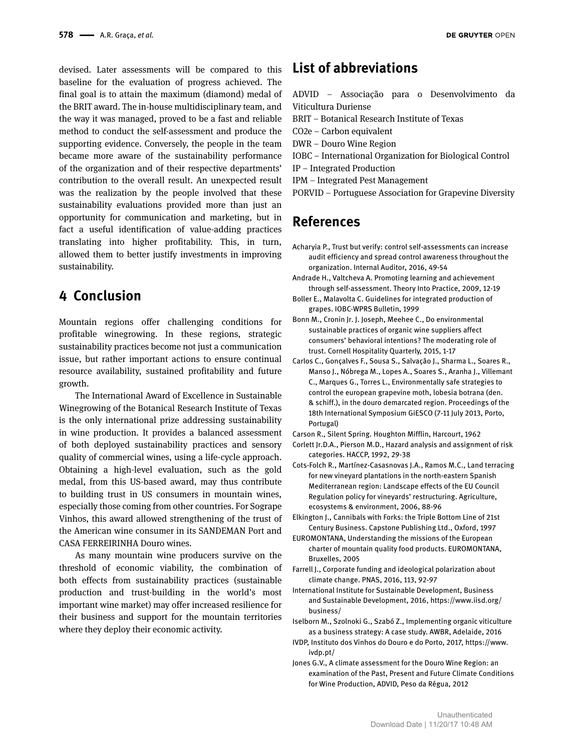devised. Later assessments will be compared to this baseline for the evaluation of progress achieved. The final goal is to attain the maximum (diamond) medal of the BRIT award. The in-house multidisciplinary team, and the way it was managed, proved to be a fast and reliable method to conduct the self-assessment and produce the supporting evidence. Conversely, the people in the team became more aware of the sustainability performance of the organization and of their respective departments' contribution to the overall result. An unexpected result was the realization by the people involved that these sustainability evaluations provided more than just an opportunity for communication and marketing, but in fact a useful identification of value-adding practices translating into higher profitability. This, in turn, allowed them to better justify investments in improving sustainability.

## **4 Conclusion**

Mountain regions offer challenging conditions for profitable winegrowing. In these regions, strategic sustainability practices become not just a communication issue, but rather important actions to ensure continual resource availability, sustained profitability and future growth.

The International Award of Excellence in Sustainable Winegrowing of the Botanical Research Institute of Texas is the only international prize addressing sustainability in wine production. It provides a balanced assessment of both deployed sustainability practices and sensory quality of commercial wines, using a life-cycle approach. Obtaining a high-level evaluation, such as the gold medal, from this US-based award, may thus contribute to building trust in US consumers in mountain wines, especially those coming from other countries. For Sogrape Vinhos, this award allowed strengthening of the trust of the American wine consumer in its SANDEMAN Port and CASA FERREIRINHA Douro wines.

As many mountain wine producers survive on the threshold of economic viability, the combination of both effects from sustainability practices (sustainable production and trust-building in the world's most important wine market) may offer increased resilience for their business and support for the mountain territories where they deploy their economic activity.

## **List of abbreviations**

- ADVID Associação para o Desenvolvimento da Viticultura Duriense
- BRIT Botanical Research Institute of Texas
- CO2e Carbon equivalent
- DWR Douro Wine Region
- IOBC International Organization for Biological Control
- IP Integrated Production
- IPM Integrated Pest Management
- PORVID Portuguese Association for Grapevine Diversity

## **References**

- Acharyia P., Trust but verify: control self-assessments can increase audit efficiency and spread control awareness throughout the organization. Internal Auditor, 2016, 49-54
- Andrade H., Valtcheva A. Promoting learning and achievement through self-assessment. Theory Into Practice, 2009, 12-19
- Boller E., Malavolta C. Guidelines for integrated production of grapes. IOBC-WPRS Bulletin, 1999
- Bonn M., Cronin Jr. J. Joseph, Meehee C., Do environmental sustainable practices of organic wine suppliers affect consumers' behavioral intentions? The moderating role of trust. Cornell Hospitality Quarterly, 2015, 1-17
- Carlos C., Gonçalves F., Sousa S., Salvação J., Sharma L., Soares R., Manso J., Nóbrega M., Lopes A., Soares S., Aranha J., Villemant C., Marques G., Torres L., Environmentally safe strategies to control the european grapevine moth, lobesia botrana (den. & schiff.), in the douro demarcated region. Proceedings of the 18th International Symposium GiESCO (7-11 July 2013, Porto, Portugal)
- Carson R., Silent Spring. Houghton Mifflin, Harcourt, 1962
- Corlett Jr.D.A., Pierson M.D., Hazard analysis and assignment of risk categories. HACCP, 1992, 29-38
- Cots-Folch R., Martínez-Casasnovas J.A., Ramos M.C., Land terracing for new vineyard plantations in the north-eastern Spanish Mediterranean region: Landscape effects of the EU Council Regulation policy for vineyards' restructuring. Agriculture, ecosystems & environment, 2006, 88-96
- Elkington J., Cannibals with Forks: the Triple Bottom Line of 21st Century Business. Capstone Publishing Ltd., Oxford, 1997
- EUROMONTANA, Understanding the missions of the European charter of mountain quality food products. EUROMONTANA, Bruxelles, 2005
- Farrell J., Corporate funding and ideological polarization about climate change. PNAS, 2016, 113, 92-97
- International Institute for Sustainable Development, Business and Sustainable Development, 2016, https://www.iisd.org/ business/
- Iselborn M., Szolnoki G., Szabó Z., Implementing organic viticulture as a business strategy: A case study. AWBR, Adelaide, 2016
- IVDP, Instituto dos Vinhos do Douro e do Porto, 2017, https://www. ivdp.pt/
- Jones G.V., A climate assessment for the Douro Wine Region: an examination of the Past, Present and Future Climate Conditions for Wine Production, ADVID, Peso da Régua, 2012